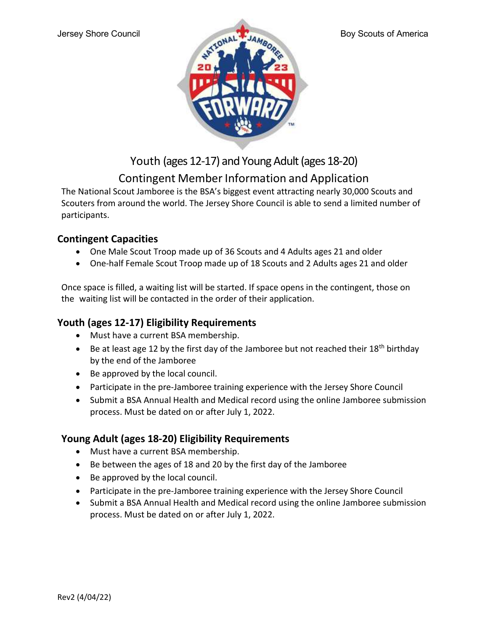

Youth (ages 12-17) and Young Adult (ages 18-20)

## Contingent Member Information and Application

The National Scout Jamboree is the BSA's biggest event attracting nearly 30,000 Scouts and Scouters from around the world. The Jersey Shore Council is able to send a limited number of participants.

## Contingent Capacities

- One Male Scout Troop made up of 36 Scouts and 4 Adults ages 21 and older
- One-half Female Scout Troop made up of 18 Scouts and 2 Adults ages 21 and older

Once space is filled, a waiting list will be started. If space opens in the contingent, those on the waiting list will be contacted in the order of their application.

## Youth (ages 12-17) Eligibility Requirements

- Must have a current BSA membership.
- Be at least age 12 by the first day of the Jamboree but not reached their 18<sup>th</sup> birthday by the end of the Jamboree
- Be approved by the local council.
- Participate in the pre-Jamboree training experience with the Jersey Shore Council
- Submit a BSA Annual Health and Medical record using the online Jamboree submission process. Must be dated on or after July 1, 2022.

## Young Adult (ages 18-20) Eligibility Requirements

- Must have a current BSA membership.
- Be between the ages of 18 and 20 by the first day of the Jamboree
- Be approved by the local council.
- Participate in the pre-Jamboree training experience with the Jersey Shore Council
- Submit a BSA Annual Health and Medical record using the online Jamboree submission process. Must be dated on or after July 1, 2022.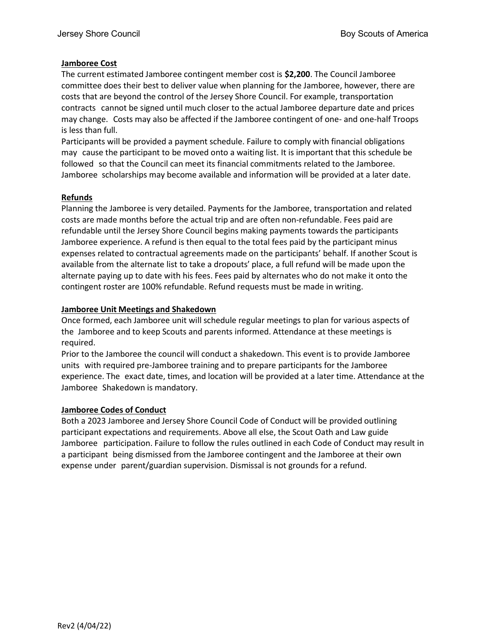#### Jamboree Cost

The current estimated Jamboree contingent member cost is \$2,200. The Council Jamboree committee does their best to deliver value when planning for the Jamboree, however, there are costs that are beyond the control of the Jersey Shore Council. For example, transportation contracts cannot be signed until much closer to the actual Jamboree departure date and prices may change. Costs may also be affected if the Jamboree contingent of one- and one-half Troops is less than full.

Participants will be provided a payment schedule. Failure to comply with financial obligations may cause the participant to be moved onto a waiting list. It is important that this schedule be followed so that the Council can meet its financial commitments related to the Jamboree. Jamboree scholarships may become available and information will be provided at a later date.

#### Refunds

Planning the Jamboree is very detailed. Payments for the Jamboree, transportation and related costs are made months before the actual trip and are often non-refundable. Fees paid are refundable until the Jersey Shore Council begins making payments towards the participants Jamboree experience. A refund is then equal to the total fees paid by the participant minus expenses related to contractual agreements made on the participants' behalf. If another Scout is available from the alternate list to take a dropouts' place, a full refund will be made upon the alternate paying up to date with his fees. Fees paid by alternates who do not make it onto the contingent roster are 100% refundable. Refund requests must be made in writing.

#### Jamboree Unit Meetings and Shakedown

Once formed, each Jamboree unit will schedule regular meetings to plan for various aspects of the Jamboree and to keep Scouts and parents informed. Attendance at these meetings is required.

Prior to the Jamboree the council will conduct a shakedown. This event is to provide Jamboree units with required pre-Jamboree training and to prepare participants for the Jamboree experience. The exact date, times, and location will be provided at a later time. Attendance at the Jamboree Shakedown is mandatory.

#### Jamboree Codes of Conduct

Both a 2023 Jamboree and Jersey Shore Council Code of Conduct will be provided outlining participant expectations and requirements. Above all else, the Scout Oath and Law guide Jamboree participation. Failure to follow the rules outlined in each Code of Conduct may result in a participant being dismissed from the Jamboree contingent and the Jamboree at their own expense under parent/guardian supervision. Dismissal is not grounds for a refund.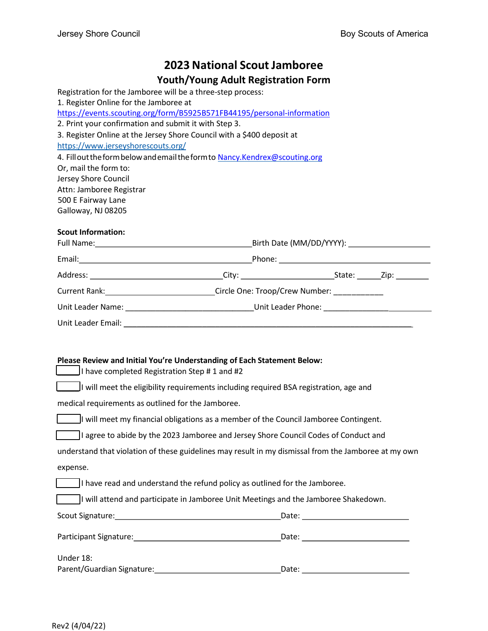# 2023 National Scout Jamboree

#### Youth/Young Adult Registration Form

Registration for the Jamboree will be a three-step process: 1. Register Online for the Jamboree at https://events.scouting.org/form/B5925B571FB44195/personal-information 2. Print your confirmation and submit it with Step 3. 3. Register Online at the Jersey Shore Council with a \$400 deposit at https://www.jerseyshorescouts.org/ 4. Fill out the form below and email the form to Nancy.Kendrex@scouting.org Or, mail the form to: Jersey Shore Council Attn: Jamboree Registrar 500 E Fairway Lane Galloway, NJ 08205

#### Scout Information:

| Current Rank: _____________________________Circle One: Troop/Crew Number: ___________                |  |  |  |
|------------------------------------------------------------------------------------------------------|--|--|--|
| Unit Leader Name: _________________________________Unit Leader Phone: ______________________________ |  |  |  |
|                                                                                                      |  |  |  |

#### Please Review and Initial You're Understanding of Each Statement Below:

\_\_\_\_\_ I have completed Registration Step # 1 and #2

\_\_\_\_\_ I will meet the eligibility requirements including required BSA registration, age and

medical requirements as outlined for the Jamboree.

 $\mathcal{L}$ If will meet my financial obligations as a member of the Council Jamboree Contingent.

\_\_\_\_\_ I agree to abide by the 2023 Jamboree and Jersey Shore Council Codes of Conduct and

| understand that violation of these guidelines may result in my dismissal from the Jamboree at my own |
|------------------------------------------------------------------------------------------------------|
| expense.                                                                                             |

\_\_\_\_\_ I have read and understand the refund policy as outlined for the Jamboree.

\_\_\_\_\_ I will attend and participate in Jamboree Unit Meetings and the Jamboree Shakedown.

| Scout Signature:           | Date: |
|----------------------------|-------|
| Participant Signature:     | Date: |
| Under 18:                  |       |
| Parent/Guardian Signature: | Date: |